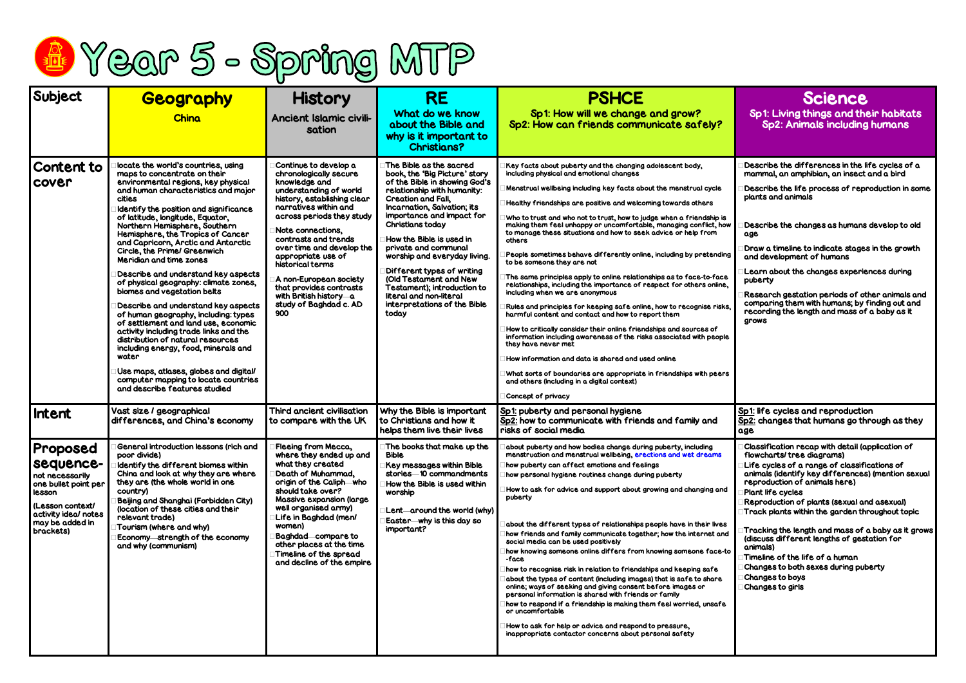

| Subject                                                                                                                                                | <b>Geography</b>                                                                                                                                                                                                                                                                                                                                                                                                                                                                                                                                                                                                                                                                                                                                                                                                                                                                                           | <b>History</b>                                                                                                                                                                                                                                                                                                                                                                                                      | <b>RE</b>                                                                                                                                                                                                                                                                                                                                                                                                                                                                            | <b>PSHCE</b>                                                                                                                                                                                                                                                                                                                                                                                                                                                                                                                                                                                                                                                                                                                                                                                                                                                                                                                                                                                                                                                                                                                                                                                                                                                      |
|--------------------------------------------------------------------------------------------------------------------------------------------------------|------------------------------------------------------------------------------------------------------------------------------------------------------------------------------------------------------------------------------------------------------------------------------------------------------------------------------------------------------------------------------------------------------------------------------------------------------------------------------------------------------------------------------------------------------------------------------------------------------------------------------------------------------------------------------------------------------------------------------------------------------------------------------------------------------------------------------------------------------------------------------------------------------------|---------------------------------------------------------------------------------------------------------------------------------------------------------------------------------------------------------------------------------------------------------------------------------------------------------------------------------------------------------------------------------------------------------------------|--------------------------------------------------------------------------------------------------------------------------------------------------------------------------------------------------------------------------------------------------------------------------------------------------------------------------------------------------------------------------------------------------------------------------------------------------------------------------------------|-------------------------------------------------------------------------------------------------------------------------------------------------------------------------------------------------------------------------------------------------------------------------------------------------------------------------------------------------------------------------------------------------------------------------------------------------------------------------------------------------------------------------------------------------------------------------------------------------------------------------------------------------------------------------------------------------------------------------------------------------------------------------------------------------------------------------------------------------------------------------------------------------------------------------------------------------------------------------------------------------------------------------------------------------------------------------------------------------------------------------------------------------------------------------------------------------------------------------------------------------------------------|
|                                                                                                                                                        | China                                                                                                                                                                                                                                                                                                                                                                                                                                                                                                                                                                                                                                                                                                                                                                                                                                                                                                      | <b>Ancient Islamic civili-</b><br>sation                                                                                                                                                                                                                                                                                                                                                                            | What do we know<br>about the Bible and<br>why is it important to<br><b>Christians?</b>                                                                                                                                                                                                                                                                                                                                                                                               | Sp1: How will we change and grow?<br>Sp2: How can friends communicate safely?                                                                                                                                                                                                                                                                                                                                                                                                                                                                                                                                                                                                                                                                                                                                                                                                                                                                                                                                                                                                                                                                                                                                                                                     |
| Content to<br>cover                                                                                                                                    | locate the world's countries, using<br>maps to concentrate on their<br>environmental regions, key physical<br>and human characteristics and major<br>cities<br>Identify the position and significance<br>of latitude, longitude, Equator,<br>Northern Hemisphere, Southern<br>Hemisphere, the Tropics of Cancer<br>and Capricorn, Arctic and Antarctic<br>Circle, the Prime/ Greenwich<br>Meridian and time zones<br>Describe and understand key aspects<br>of physical geography: climate zones,<br>biomes and vegetation belts<br>Describe and understand key aspects<br>of human geography, including: types<br>of settlement and land use, economic<br>activity including trade links and the<br>distribution of natural resources<br>including energy, food, minerals and<br>water<br>Use maps, atlases, globes and digital/<br>computer mapping to locate countries<br>and describe features studied | Continue to develop a<br>chronologically secure<br>knowledge and<br>understanding of world<br>history, establishing clear<br>narratives within and<br>across periods they study<br>Note connections,<br>contrasts and trends<br>over time and develop the<br>appropriate use of<br>historical terms<br>A non-European society<br>that provides contrasts<br>with British history-a<br>study of Baghdad c. AD<br>900 | The Bible as the sacred<br>book, the 'Big Picture' story<br>of the Bible in showing God's<br>relationship with humanity:<br>Creation and Fall,<br>Incarnation, Salvation; its<br>importance and impact for<br><b>Christians today</b><br>How the Bible is used in<br>private and communal<br>worship and everyday living.<br>Different types of writing<br>(Old Testament and New<br>Testament); introduction to<br>literal and non-literal<br>interpretations of the Bible<br>today | Key facts about puberty and the changing adolescent body,<br>including physical and emotional changes<br>Menstrual wellbeing including key facts about the menstrual cycle<br>Healthy friendships are positive and welcoming towards others<br>Who to trust and who not to trust, how to judge when a friendship is<br>making them feel unhappy or uncomfortable, managing conflict, how<br>to manage these situations and how to seek advice or help from<br>others<br>People sometimes behave differently online, including by pretending<br>to be someone they are not<br>The same principles apply to online relationships as to face-to-face<br>relationships, including the importance of respect for others online,<br>including when we are anonymous<br>Rules and principles for keeping safe online, how to recognise risks,<br>harmful content and contact and how to report them<br>How to critically consider their online friendships and sources of<br>information including awareness of the risks associated with people<br>they have never met<br>How information and data is shared and used online<br>What sorts of boundaries are appropriate in friendships with peers<br>and others (including in a digital context)<br>Concept of privacy |
| <b>Intent</b>                                                                                                                                          | Vast size / geographical<br>differences, and China's economy                                                                                                                                                                                                                                                                                                                                                                                                                                                                                                                                                                                                                                                                                                                                                                                                                                               | <b>Third ancient civilisation</b><br>to compare with the UK                                                                                                                                                                                                                                                                                                                                                         | Why the Bible is important<br>to Christians and how it<br>helps them live their lives                                                                                                                                                                                                                                                                                                                                                                                                | <u>Sp1:</u> puberty and personal hygiene<br>Sp2: how to communicate with friends and family and<br>risks of social media                                                                                                                                                                                                                                                                                                                                                                                                                                                                                                                                                                                                                                                                                                                                                                                                                                                                                                                                                                                                                                                                                                                                          |
| Proposed<br>sequence-<br>not necessarily<br>one bullet point per<br>lesson<br>(Lesson context/<br>activity ideal notes<br>may be added in<br>brackets) | General introduction lessons (rich and<br>poor divide)<br>Identify the different biomes within<br>China and look at why they are where<br>they are (the whole world in one<br>country)<br>Beijing and Shanghai (Forbidden City)<br>(location of these cities and their<br>relevant trade)<br>Tourism (where and why)<br>Economy-strength of the economy<br>and why (communism)                                                                                                                                                                                                                                                                                                                                                                                                                                                                                                                             | Fleeing from Mecca,<br>where they ended up and<br>what they created<br>Death of Muhammad,<br>origin of the Caliph—who<br>should take over?<br><b>Massive expansion (large)</b><br>well organised army)<br>Life in Baghdad (men/<br>women)<br><b>Baghdad</b> compare to<br>other places at the time<br>Timeline of the spread<br>and decline of the empire                                                           | The books that make up the<br><b>Bible</b><br>Key messages within Bible<br>stories 10 commandments<br>How the Bible is used within<br>worship<br>Lent-around the world (why)<br>Easter—why is this day so<br>important?                                                                                                                                                                                                                                                              | about puberty and how bodies change during puberty, including<br>menstruation and menstrual wellbeing, erections and wet dreams<br>how puberty can affect emotions and feelings<br>how personal hygiene routines change during puberty<br>How to ask for advice and support about growing and changing and<br>puberty<br>about the different types of relationships people have in their lives<br>how friends and family communicate together; how the internet and<br>social media can be used positively<br>how knowing someone online differs from knowing someone face-to<br>-face<br>how to recognise risk in relation to friendships and keeping safe<br>about the types of content (including images) that is safe to share<br>online; ways of seeking and giving consent before images or<br>personal information is shared with friends or family<br>how to respond if a friendship is making them feel worried, unsafe<br>or uncomfortable<br>How to ask for help or advice and respond to pressure,<br>inappropriate contactor concerns about personal safety                                                                                                                                                                                          |

| <b>Science</b><br><b>Sp1: Living things and their habitats</b><br><b>Sp2: Animals including humans</b>                                                                                                                                                                                                                                                                                                                                                                                                                                                                                                       |
|--------------------------------------------------------------------------------------------------------------------------------------------------------------------------------------------------------------------------------------------------------------------------------------------------------------------------------------------------------------------------------------------------------------------------------------------------------------------------------------------------------------------------------------------------------------------------------------------------------------|
| Describe the differences in the life cycles of a<br>mammal, an amphibian, an insect and a bird<br>Describe the life process of reproduction in some<br>plants and animals                                                                                                                                                                                                                                                                                                                                                                                                                                    |
| Describe the changes as humans develop to old<br>age<br>Draw a timeline to indicate stages in the growth<br>and development of humans<br>Learn about the changes experiences during<br>puberty<br>Research gestation periods of other animals and<br>comparing them with humans; by finding out and<br>recording the length and mass of a baby as it<br>grows                                                                                                                                                                                                                                                |
| Sp1: life cycles and reproduction<br>Sp2: changes that humans go through as they<br>age                                                                                                                                                                                                                                                                                                                                                                                                                                                                                                                      |
| Classification recap with detail (application of<br>flowcharts/tree diagrams)<br>Life cycles of a range of classifications of<br>animals (identify key differences) (mention sexual<br>reproduction of animals here)<br>$\Box$ Plant life cycles<br>Reproduction of plants (sexual and asexual)<br>Track plants within the garden throughout topic<br>$\Box$ Tracking the length and mass of a baby as it grows<br>(discuss different lengths of gestation for<br>animals)<br>$\Box$ Timeline of the life of a human<br>Changes to both sexes during puberty<br>□ Changes to boys<br>$\Box$ Changes to girls |